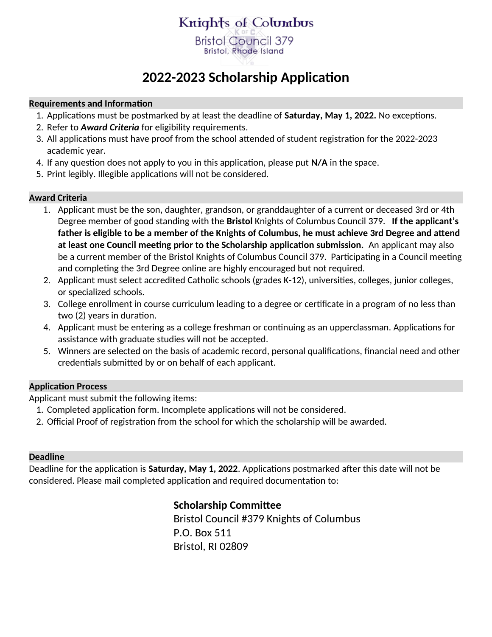## Knights of Columbus **Bristol Council 379**

**Bristol, Rhode Island** 

# **2022-2023 Scholarship Application**

#### **Requirements and Information**

- 1. Applications must be postmarked by at least the deadline of **Saturday, May 1, 2022.** No exceptions.
- 2. Refer to *Award Criteria* for eligibility requirements.
- 3. All applications must have proof from the school attended of student registration for the 2022-2023 academic year.
- 4. If any question does not apply to you in this application, please put **N/A** in the space.
- 5. Print legibly. Illegible applications will not be considered.

### **Award Criteria**

- 1. Applicant must be the son, daughter, grandson, or granddaughter of a current or deceased 3rd or 4th Degree member of good standing with the **Bristol** Knights of Columbus Council 379. **If the applicant's father is eligible to be a member of the Knights of Columbus, he must achieve 3rd Degree and attend at least one Council meeting prior to the Scholarship application submission.** An applicant may also be a current member of the Bristol Knights of Columbus Council 379. Participating in a Council meeting and completing the 3rd Degree online are highly encouraged but not required.
- 2. Applicant must select accredited Catholic schools (grades K-12), universities, colleges, junior colleges, or specialized schools.
- 3. College enrollment in course curriculum leading to a degree or certificate in a program of no less than two (2) years in duration.
- 4. Applicant must be entering as a college freshman or continuing as an upperclassman. Applications for assistance with graduate studies will not be accepted.
- 5. Winners are selected on the basis of academic record, personal qualifications, financial need and other credentials submitted by or on behalf of each applicant.

### **Application Process**

Applicant must submit the following items:

- 1. Completed application form. Incomplete applications will not be considered.
- 2. Official Proof of registration from the school for which the scholarship will be awarded.

### **Deadline**

Deadline for the application is **Saturday, May 1, 2022**. Applications postmarked after this date will not be considered. Please mail completed application and required documentation to:

### **Scholarship Committee**

Bristol Council #379 Knights of Columbus P.O. Box 511 Bristol, RI 02809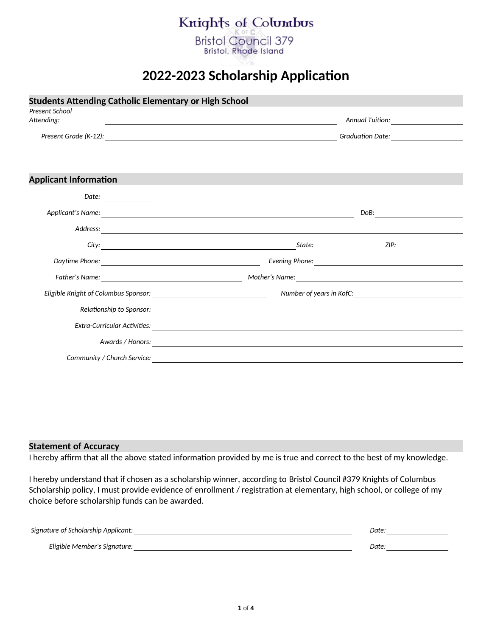## Knights of Columbus

**Bristol Council 379 Bristol, Rhode Island** 

## **2022-2023 Scholarship Application**

| <b>Students Attending Catholic Elementary or High School</b><br>Present School |                                       |  |  |
|--------------------------------------------------------------------------------|---------------------------------------|--|--|
| Attending:                                                                     |                                       |  |  |
|                                                                                | Graduation Date: ____________________ |  |  |
|                                                                                |                                       |  |  |
| <b>Applicant Information</b>                                                   |                                       |  |  |
|                                                                                |                                       |  |  |
|                                                                                |                                       |  |  |
|                                                                                |                                       |  |  |
|                                                                                | ZIP:<br>State:                        |  |  |
|                                                                                |                                       |  |  |
|                                                                                |                                       |  |  |
|                                                                                |                                       |  |  |
|                                                                                |                                       |  |  |
|                                                                                |                                       |  |  |
|                                                                                |                                       |  |  |
|                                                                                |                                       |  |  |

#### **Statement of Accuracy**

I hereby affirm that all the above stated information provided by me is true and correct to the best of my knowledge.

I hereby understand that if chosen as a scholarship winner, according to Bristol Council #379 Knights of Columbus Scholarship policy, I must provide evidence of enrollment / registration at elementary, high school, or college of my choice before scholarship funds can be awarded.

| Signature of Scholarship Applicant: | Date: |
|-------------------------------------|-------|
| Eligible Member's Signature:        | Date: |